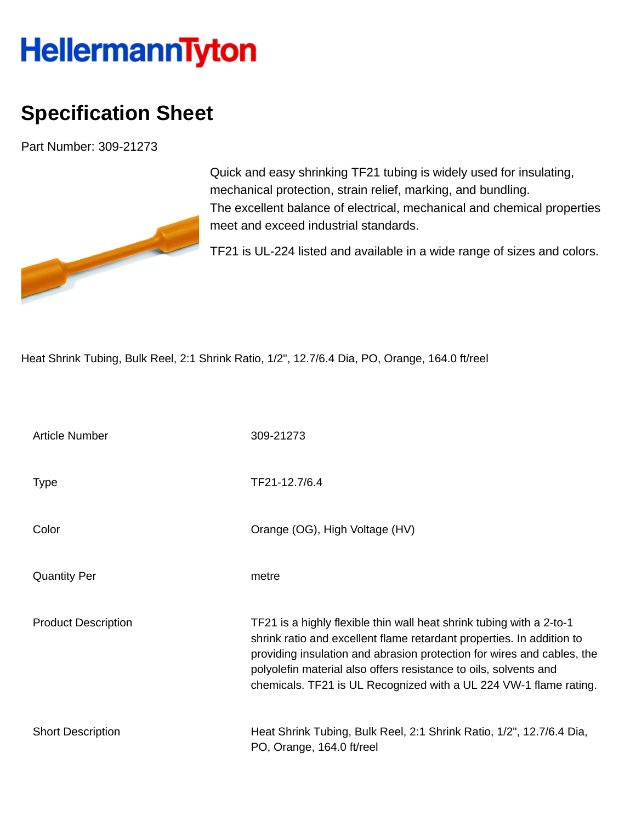## **HellermannTyton**

## **Specification Sheet**

Part Number: 309-21273



Quick and easy shrinking TF21 tubing is widely used for insulating, mechanical protection, strain relief, marking, and bundling. The excellent balance of electrical, mechanical and chemical properties meet and exceed industrial standards.

TF21 is UL-224 listed and available in a wide range of sizes and colors.

Heat Shrink Tubing, Bulk Reel, 2:1 Shrink Ratio, 1/2", 12.7/6.4 Dia, PO, Orange, 164.0 ft/reel

| <b>Article Number</b>      | 309-21273                                                                                                                                                                                                                                                                                                                                                        |
|----------------------------|------------------------------------------------------------------------------------------------------------------------------------------------------------------------------------------------------------------------------------------------------------------------------------------------------------------------------------------------------------------|
| <b>Type</b>                | TF21-12.7/6.4                                                                                                                                                                                                                                                                                                                                                    |
| Color                      | Orange (OG), High Voltage (HV)                                                                                                                                                                                                                                                                                                                                   |
| <b>Quantity Per</b>        | metre                                                                                                                                                                                                                                                                                                                                                            |
| <b>Product Description</b> | TF21 is a highly flexible thin wall heat shrink tubing with a 2-to-1<br>shrink ratio and excellent flame retardant properties. In addition to<br>providing insulation and abrasion protection for wires and cables, the<br>polyolefin material also offers resistance to oils, solvents and<br>chemicals. TF21 is UL Recognized with a UL 224 VW-1 flame rating. |
| <b>Short Description</b>   | Heat Shrink Tubing, Bulk Reel, 2:1 Shrink Ratio, 1/2", 12.7/6.4 Dia,<br>PO, Orange, 164.0 ft/reel                                                                                                                                                                                                                                                                |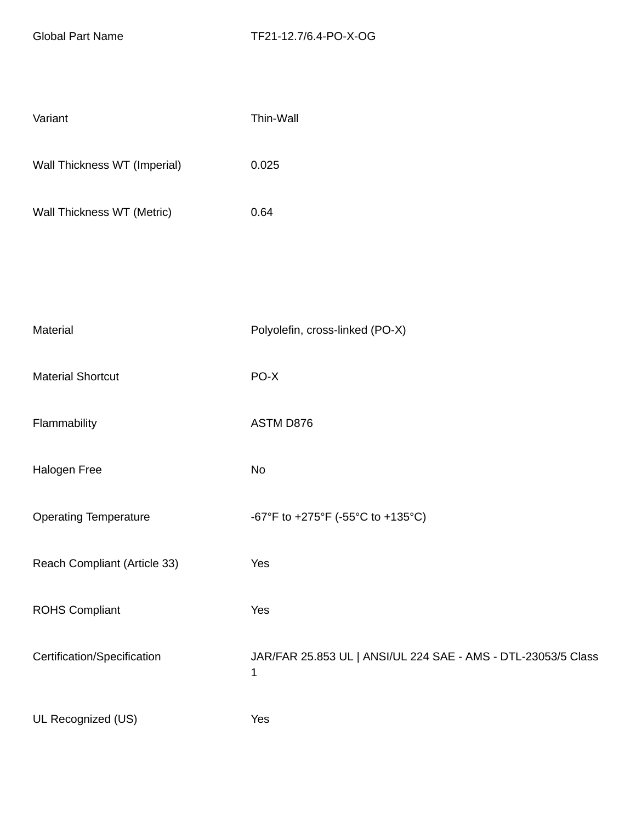| Variant                      | Thin-Wall                                                          |
|------------------------------|--------------------------------------------------------------------|
| Wall Thickness WT (Imperial) | 0.025                                                              |
| Wall Thickness WT (Metric)   | 0.64                                                               |
|                              |                                                                    |
|                              |                                                                    |
| Material                     | Polyolefin, cross-linked (PO-X)                                    |
| <b>Material Shortcut</b>     | PO-X                                                               |
| Flammability                 | ASTM D876                                                          |
| Halogen Free                 | No                                                                 |
| <b>Operating Temperature</b> | -67°F to +275°F (-55°C to +135°C)                                  |
| Reach Compliant (Article 33) | Yes                                                                |
| <b>ROHS Compliant</b>        | Yes                                                                |
| Certification/Specification  | JAR/FAR 25.853 UL   ANSI/UL 224 SAE - AMS - DTL-23053/5 Class<br>1 |
| UL Recognized (US)           | Yes                                                                |